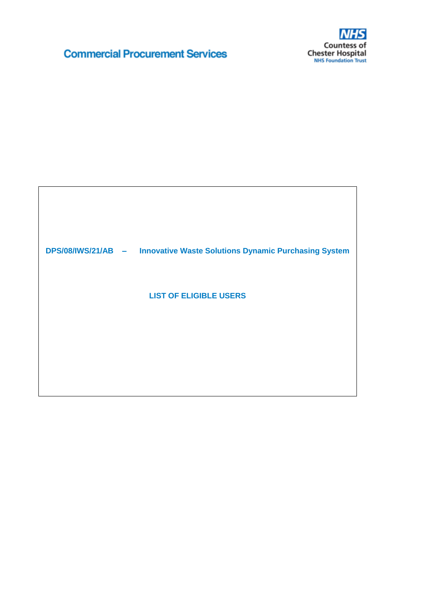# **Commercial Procurement Services**



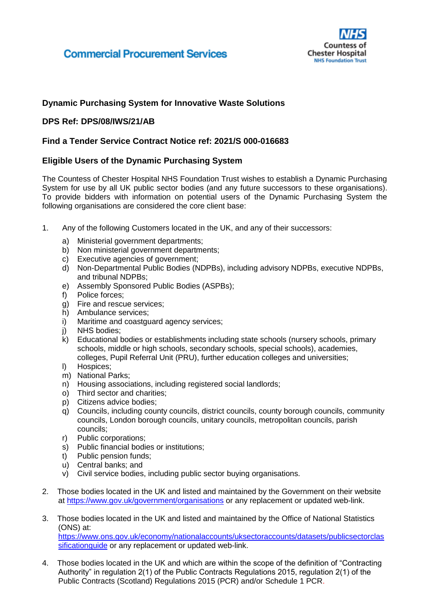

### **Dynamic Purchasing System for Innovative Waste Solutions**

### **DPS Ref: DPS/08/IWS/21/AB**

#### **Find a Tender Service Contract Notice ref: 2021/S 000-016683**

#### **Eligible Users of the Dynamic Purchasing System**

The Countess of Chester Hospital NHS Foundation Trust wishes to establish a Dynamic Purchasing System for use by all UK public sector bodies (and any future successors to these organisations). To provide bidders with information on potential users of the Dynamic Purchasing System the following organisations are considered the core client base:

- 1. Any of the following Customers located in the UK, and any of their successors:
	- a) Ministerial government departments;
	- b) Non ministerial government departments;
	- c) Executive agencies of government;
	- d) Non-Departmental Public Bodies (NDPBs), including advisory NDPBs, executive NDPBs, and tribunal NDPBs;
	- e) Assembly Sponsored Public Bodies (ASPBs);
	- f) Police forces;
	- g) Fire and rescue services;
	- h) Ambulance services;
	- i) Maritime and coastguard agency services;
	-
	- j) NHS bodies;<br>k) Educational l k) Educational bodies or establishments including state schools (nursery schools, primary schools, middle or high schools, secondary schools, special schools), academies, colleges, Pupil Referral Unit (PRU), further education colleges and universities;
	- l) Hospices;
	- m) National Parks;
	- n) Housing associations, including registered social landlords;
	- o) Third sector and charities;
	- p) Citizens advice bodies;
	- q) Councils, including county councils, district councils, county borough councils, community councils, London borough councils, unitary councils, metropolitan councils, parish councils;
	- r) Public corporations;
	- s) Public financial bodies or institutions;
	- t) Public pension funds;
	- u) Central banks; and
	- v) Civil service bodies, including public sector buying organisations.
- 2. Those bodies located in the UK and listed and maintained by the Government on their website at<https://www.gov.uk/government/organisations> or any replacement or updated web-link.
- 3. Those bodies located in the UK and listed and maintained by the Office of National Statistics (ONS) at: [https://www.ons.gov.uk/economy/nationalaccounts/uksectoraccounts/datasets/publicsectorclas](https://www.ons.gov.uk/economy/nationalaccounts/uksectoraccounts/datasets/publicsectorclassificationguide) [sificationguide](https://www.ons.gov.uk/economy/nationalaccounts/uksectoraccounts/datasets/publicsectorclassificationguide) or any replacement or updated web-link.
- 4. Those bodies located in the UK and which are within the scope of the definition of "Contracting Authority" in regulation 2(1) of the Public Contracts Regulations 2015, regulation 2(1) of the Public Contracts (Scotland) Regulations 2015 (PCR) and/or Schedule 1 PCR.